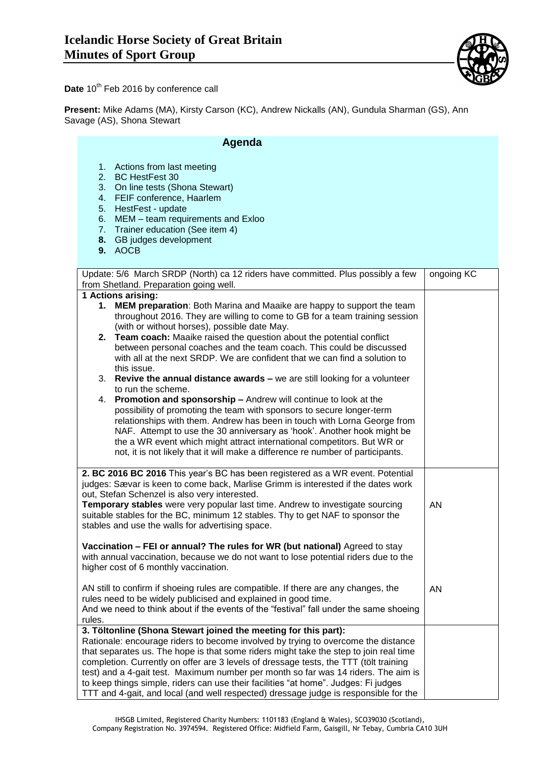

Date 10<sup>th</sup> Feb 2016 by conference call

**Present:** Mike Adams (MA), Kirsty Carson (KC), Andrew Nickalls (AN), Gundula Sharman (GS), Ann Savage (AS), Shona Stewart

| Agenda                                                                                                                                                                                                                                                                                                                                                                                                                                                                                                                                                                                                      |            |
|-------------------------------------------------------------------------------------------------------------------------------------------------------------------------------------------------------------------------------------------------------------------------------------------------------------------------------------------------------------------------------------------------------------------------------------------------------------------------------------------------------------------------------------------------------------------------------------------------------------|------------|
| 1. Actions from last meeting<br>2. BC HestFest 30<br>3. On line tests (Shona Stewart)<br>4. FEIF conference, Haarlem<br>5. HestFest - update<br>6. MEM - team requirements and Exloo<br>7. Trainer education (See item 4)<br>8. GB judges development<br>9. AOCB                                                                                                                                                                                                                                                                                                                                            |            |
| Update: 5/6 March SRDP (North) ca 12 riders have committed. Plus possibly a few<br>from Shetland. Preparation going well.                                                                                                                                                                                                                                                                                                                                                                                                                                                                                   | ongoing KC |
| 1 Actions arising:                                                                                                                                                                                                                                                                                                                                                                                                                                                                                                                                                                                          |            |
| 1. MEM preparation: Both Marina and Maaike are happy to support the team<br>throughout 2016. They are willing to come to GB for a team training session<br>(with or without horses), possible date May.<br>2. Team coach: Maaike raised the question about the potential conflict<br>between personal coaches and the team coach. This could be discussed<br>with all at the next SRDP. We are confident that we can find a solution to<br>this issue.                                                                                                                                                      |            |
| 3. Revive the annual distance awards - we are still looking for a volunteer<br>to run the scheme.                                                                                                                                                                                                                                                                                                                                                                                                                                                                                                           |            |
| 4. Promotion and sponsorship - Andrew will continue to look at the<br>possibility of promoting the team with sponsors to secure longer-term<br>relationships with them. Andrew has been in touch with Lorna George from<br>NAF. Attempt to use the 30 anniversary as 'hook'. Another hook might be<br>the a WR event which might attract international competitors. But WR or<br>not, it is not likely that it will make a difference re number of participants.                                                                                                                                            |            |
| 2. BC 2016 BC 2016 This year's BC has been registered as a WR event. Potential<br>judges: Sævar is keen to come back, Marlise Grimm is interested if the dates work<br>out, Stefan Schenzel is also very interested.                                                                                                                                                                                                                                                                                                                                                                                        |            |
| Temporary stables were very popular last time. Andrew to investigate sourcing<br>suitable stables for the BC, minimum 12 stables. Thy to get NAF to sponsor the<br>stables and use the walls for advertising space.                                                                                                                                                                                                                                                                                                                                                                                         | <b>AN</b>  |
| Vaccination - FEI or annual? The rules for WR (but national) Agreed to stay<br>with annual vaccination, because we do not want to lose potential riders due to the<br>higher cost of 6 monthly vaccination.                                                                                                                                                                                                                                                                                                                                                                                                 |            |
| AN still to confirm if shoeing rules are compatible. If there are any changes, the<br>rules need to be widely publicised and explained in good time.<br>And we need to think about if the events of the "festival" fall under the same shoeing<br>rules.                                                                                                                                                                                                                                                                                                                                                    | AN         |
| 3. Töltonline (Shona Stewart joined the meeting for this part):<br>Rationale: encourage riders to become involved by trying to overcome the distance<br>that separates us. The hope is that some riders might take the step to join real time<br>completion. Currently on offer are 3 levels of dressage tests, the TTT (tölt training<br>test) and a 4-gait test. Maximum number per month so far was 14 riders. The aim is<br>to keep things simple, riders can use their facilities "at home". Judges: Fi judges<br>TTT and 4-gait, and local (and well respected) dressage judge is responsible for the |            |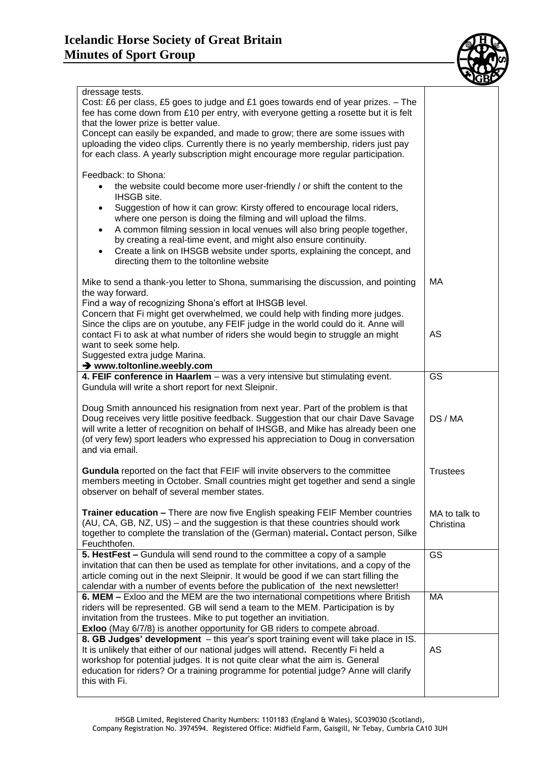

|                                                                                                                                                                                                                                                                                                                                                                                                                                                                                                                                                                                                     | <b>NDL</b>                 |
|-----------------------------------------------------------------------------------------------------------------------------------------------------------------------------------------------------------------------------------------------------------------------------------------------------------------------------------------------------------------------------------------------------------------------------------------------------------------------------------------------------------------------------------------------------------------------------------------------------|----------------------------|
| dressage tests.<br>Cost: £6 per class, £5 goes to judge and £1 goes towards end of year prizes. - The<br>fee has come down from £10 per entry, with everyone getting a rosette but it is felt<br>that the lower prize is better value.<br>Concept can easily be expanded, and made to grow; there are some issues with<br>uploading the video clips. Currently there is no yearly membership, riders just pay<br>for each class. A yearly subscription might encourage more regular participation.                                                                                                  |                            |
| Feedback: to Shona:<br>the website could become more user-friendly / or shift the content to the<br>$\bullet$<br><b>IHSGB</b> site.<br>Suggestion of how it can grow: Kirsty offered to encourage local riders,<br>$\bullet$<br>where one person is doing the filming and will upload the films.<br>A common filming session in local venues will also bring people together,<br>$\bullet$<br>by creating a real-time event, and might also ensure continuity.<br>Create a link on IHSGB website under sports, explaining the concept, and<br>$\bullet$<br>directing them to the toltonline website |                            |
| Mike to send a thank-you letter to Shona, summarising the discussion, and pointing<br>the way forward.<br>Find a way of recognizing Shona's effort at IHSGB level.<br>Concern that Fi might get overwhelmed, we could help with finding more judges.<br>Since the clips are on youtube, any FEIF judge in the world could do it. Anne will<br>contact Fi to ask at what number of riders she would begin to struggle an might<br>want to seek some help.<br>Suggested extra judge Marina.<br>→ www.toltonline.weebly.com                                                                            | МA<br>AS                   |
| 4. FEIF conference in Haarlem - was a very intensive but stimulating event.<br>Gundula will write a short report for next Sleipnir.                                                                                                                                                                                                                                                                                                                                                                                                                                                                 | $\overline{\text{GS}}$     |
| Doug Smith announced his resignation from next year. Part of the problem is that<br>Doug receives very little positive feedback. Suggestion that our chair Dave Savage<br>will write a letter of recognition on behalf of IHSGB, and Mike has already been one<br>(of very few) sport leaders who expressed his appreciation to Doug in conversation<br>and via email.                                                                                                                                                                                                                              | DS / MA                    |
| Gundula reported on the fact that FEIF will invite observers to the committee<br>members meeting in October. Small countries might get together and send a single<br>observer on behalf of several member states.                                                                                                                                                                                                                                                                                                                                                                                   | <b>Trustees</b>            |
| <b>Trainer education - There are now five English speaking FEIF Member countries</b><br>(AU, CA, GB, NZ, US) – and the suggestion is that these countries should work<br>together to complete the translation of the (German) material. Contact person, Silke<br>Feuchthofen.                                                                                                                                                                                                                                                                                                                       | MA to talk to<br>Christina |
| 5. HestFest - Gundula will send round to the committee a copy of a sample<br>invitation that can then be used as template for other invitations, and a copy of the<br>article coming out in the next Sleipnir. It would be good if we can start filling the<br>calendar with a number of events before the publication of the next newsletter!                                                                                                                                                                                                                                                      | <b>GS</b>                  |
| 6. MEM - Exloo and the MEM are the two international competitions where British<br>riders will be represented. GB will send a team to the MEM. Participation is by<br>invitation from the trustees. Mike to put together an invitiation.<br>Exloo (May 6/7/8) is another opportunity for GB riders to compete abroad.                                                                                                                                                                                                                                                                               | <b>MA</b>                  |
| 8. GB Judges' development - this year's sport training event will take place in IS.<br>It is unlikely that either of our national judges will attend. Recently Fi held a<br>workshop for potential judges. It is not quite clear what the aim is. General<br>education for riders? Or a training programme for potential judge? Anne will clarify<br>this with Fi.                                                                                                                                                                                                                                  | <b>AS</b>                  |